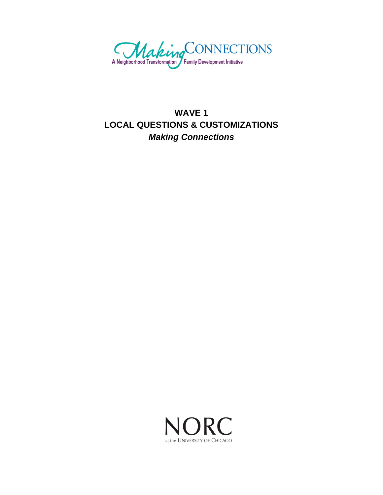

# **WAVE 1 LOCAL QUESTIONS & CUSTOMIZATIONS**  *Making Connections*

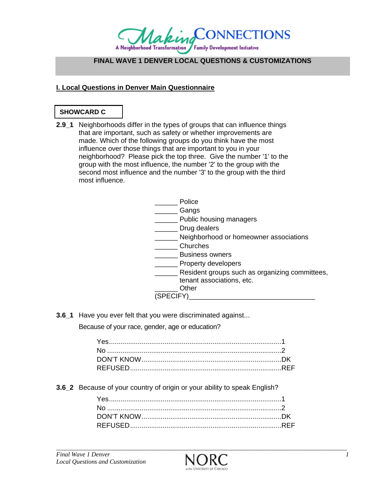

# **FINAL WAVE 1 DENVER LOCAL QUESTIONS & CUSTOMIZATIONS**

### **I. Local Questions in Denver Main Questionnaire**

### **SHOWCARD C**

**2.9 1** Neighborhoods differ in the types of groups that can influence things that are important, such as safety or whether improvements are made. Which of the following groups do you think have the most influence over those things that are important to you in your neighborhood? Please pick the top three. Give the number '1' to the group with the most influence, the number '2' to the group with the second most influence and the number '3' to the group with the third most influence.

|                | Police                                         |
|----------------|------------------------------------------------|
|                | Gangs                                          |
|                | Public housing managers                        |
|                | Drug dealers                                   |
|                | Neighborhood or homeowner associations         |
|                | Churches                                       |
|                | <b>Business owners</b>                         |
|                | Property developers                            |
|                | Resident groups such as organizing committees, |
|                | tenant associations, etc.                      |
|                | Other                                          |
| <b>SPECIFY</b> |                                                |

**3.6\_1** Have you ever felt that you were discriminated against...

Because of your race, gender, age or education?

**3.6\_2** Because of your country of origin or your ability to speak English?

*\_\_\_\_\_\_\_\_\_\_\_\_\_\_\_\_\_\_\_\_\_\_\_\_\_\_\_\_\_\_\_\_\_\_\_\_\_\_\_\_\_\_\_\_\_\_\_\_\_\_\_\_\_\_\_\_\_\_\_\_\_\_\_\_\_\_\_\_\_\_\_\_\_\_\_\_\_\_\_\_\_\_\_\_\_\_\_\_\_\_\_\_\_*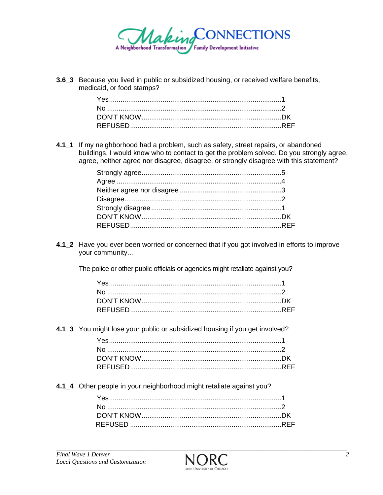

3.6 3 Because you lived in public or subsidized housing, or received welfare benefits, medicaid, or food stamps?

4.1\_1 If my neighborhood had a problem, such as safety, street repairs, or abandoned buildings, I would know who to contact to get the problem solved. Do you strongly agree, agree, neither agree nor disagree, disagree, or strongly disagree with this statement?

4.1\_2 Have you ever been worried or concerned that if you got involved in efforts to improve your community...

The police or other public officials or agencies might retaliate against you?

4.1\_3 You might lose your public or subsidized housing if you get involved?

4.1\_4 Other people in your neighborhood might retaliate against you?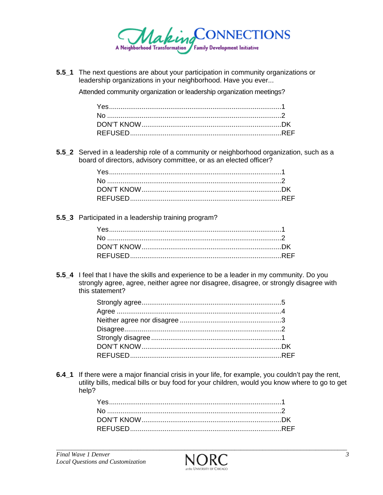

**5.5\_1** The next questions are about your participation in community organizations or leadership organizations in your neighborhood. Have you ever...

Attended community organization or leadership organization meetings?

**5.5\_2** Served in a leadership role of a community or neighborhood organization, such as a board of directors, advisory committee, or as an elected officer?

**5.5\_3** Participated in a leadership training program?

**5.5\_4** I feel that I have the skills and experience to be a leader in my community. Do you strongly agree, agree, neither agree nor disagree, disagree, or strongly disagree with this statement?

**6.4\_1** If there were a major financial crisis in your life, for example, you couldn't pay the rent, utility bills, medical bills or buy food for your children, would you know where to go to get help?

*\_\_\_\_\_\_\_\_\_\_\_\_\_\_\_\_\_\_\_\_\_\_\_\_\_\_\_\_\_\_\_\_\_\_\_\_\_\_\_\_\_\_\_\_\_\_\_\_\_\_\_\_\_\_\_\_\_\_\_\_\_\_\_\_\_\_\_\_\_\_\_\_\_\_\_\_\_\_\_\_\_\_\_\_\_\_\_\_\_\_\_\_\_*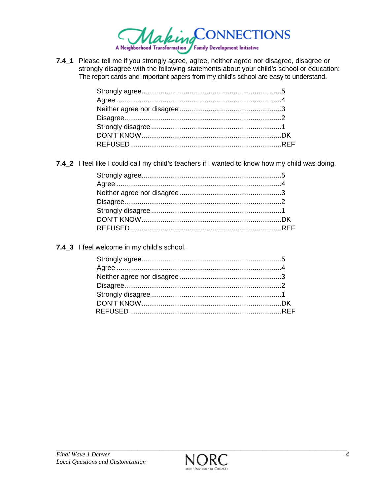

7.4\_1 Please tell me if you strongly agree, agree, neither agree nor disagree, disagree or strongly disagree with the following statements about your child's school or education: The report cards and important papers from my child's school are easy to understand.

7.4\_2 I feel like I could call my child's teachers if I wanted to know how my child was doing.

7.4\_3 I feel welcome in my child's school.

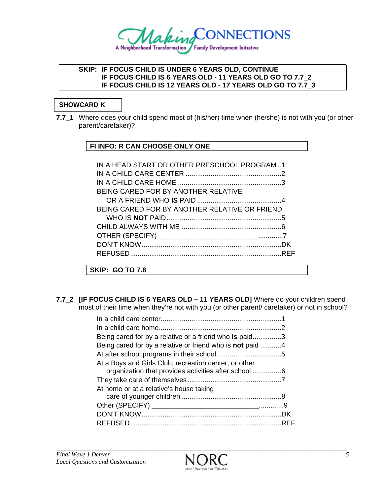

### **SKIP: IF FOCUS CHILD IS UNDER 6 YEARS OLD, CONTINUE IF FOCUS CHILD IS 6 YEARS OLD - 11 YEARS OLD GO TO 7.7\_2 IF FOCUS CHILD IS 12 YEARS OLD - 17 YEARS OLD GO TO 7.7\_3**

# **SHOWCARD K**

**7.7\_1** Where does your child spend most of (his/her) time when (he/she) is not with you (or other parent/caretaker)?

### **FI INFO: R CAN CHOOSE ONLY ONE**

| IN A HEAD START OR OTHER PRESCHOOL PROGRAM1   |  |
|-----------------------------------------------|--|
|                                               |  |
|                                               |  |
| BEING CARED FOR BY ANOTHER RELATIVE           |  |
|                                               |  |
| BEING CARED FOR BY ANOTHER RELATIVE OR FRIEND |  |
|                                               |  |
|                                               |  |
|                                               |  |
|                                               |  |
|                                               |  |
| SKIP: GO TO 7.8                               |  |

**7.7\_2 [IF FOCUS CHILD IS 6 YEARS OLD – 11 YEARS OLD]** Where do your children spend most of their time when they're not with you (or other parent/ caretaker) or not in school?

| Being cared for by a relative or a friend who is paid3    |  |
|-----------------------------------------------------------|--|
| Being cared for by a relative or friend who is not paid 4 |  |
|                                                           |  |
| At a Boys and Girls Club, recreation center, or other     |  |
| organization that provides activities after school 6      |  |
|                                                           |  |
| At home or at a relative's house taking                   |  |
|                                                           |  |
|                                                           |  |
|                                                           |  |
|                                                           |  |

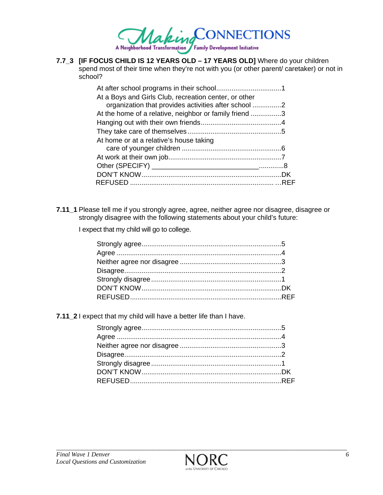

**7.7\_3 [IF FOCUS CHILD IS 12 YEARS OLD – 17 YEARS OLD]** Where do your children spend most of their time when they're not with you (or other parent/ caretaker) or not in school?

| At a Boys and Girls Club, recreation center, or other  |  |
|--------------------------------------------------------|--|
| organization that provides activities after school 2   |  |
| At the home of a relative, neighbor or family friend 3 |  |
|                                                        |  |
|                                                        |  |
| At home or at a relative's house taking                |  |
|                                                        |  |
|                                                        |  |
|                                                        |  |
|                                                        |  |
|                                                        |  |
|                                                        |  |

**7.11\_1** Please tell me if you strongly agree, agree, neither agree nor disagree, disagree or strongly disagree with the following statements about your child's future:

I expect that my child will go to college.

**7.11\_2** I expect that my child will have a better life than I have.

*\_\_\_\_\_\_\_\_\_\_\_\_\_\_\_\_\_\_\_\_\_\_\_\_\_\_\_\_\_\_\_\_\_\_\_\_\_\_\_\_\_\_\_\_\_\_\_\_\_\_\_\_\_\_\_\_\_\_\_\_\_\_\_\_\_\_\_\_\_\_\_\_\_\_\_\_\_\_\_\_\_\_\_\_\_\_\_\_\_\_\_\_\_*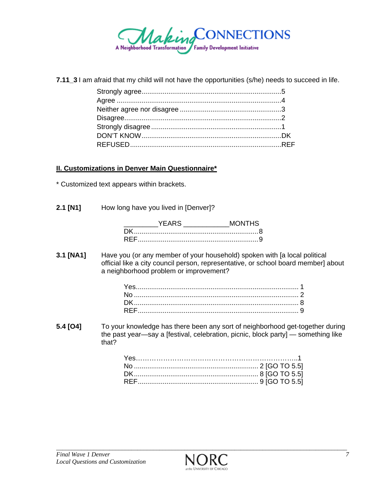

**7.11\_3** I am afraid that my child will not have the opportunities (s/he) needs to succeed in life.

### **II. Customizations in Denver Main Questionnaire\***

\* Customized text appears within brackets.

**2.1 [N1]** How long have you lived in [Denver]?

| <b>YFARS</b> | MONTHS |
|--------------|--------|
|              |        |
|              |        |

**3.1 [NA1]** Have you (or any member of your household) spoken with [a local political official like a city council person, representative, or school board member] about a neighborhood problem or improvement?

**5.4 [O4]** To your knowledge has there been any sort of neighborhood get-together during the past year—say a [festival, celebration, picnic, block party] — something like that?

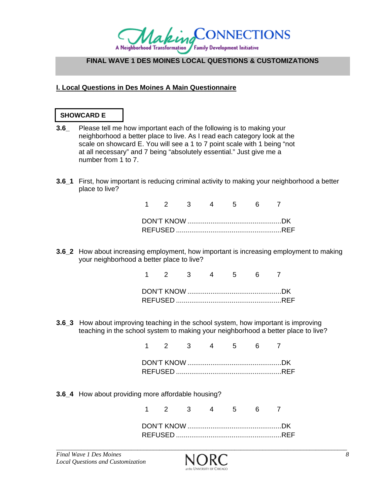

### **FINAL WAVE 1 DES MOINES LOCAL QUESTIONS & CUSTOMIZATIONS**

### **I. Local Questions in Des Moines A Main Questionnaire**

### **SHOWCARD E**

- **3.6\_** Please tell me how important each of the following is to making your neighborhood a better place to live. As I read each category look at the scale on showcard E. You will see a 1 to 7 point scale with 1 being "not at all necessary" and 7 being "absolutely essential." Just give me a number from 1 to 7.
- **3.6\_1** First, how important is reducing criminal activity to making your neighborhood a better place to live?

|  | 2 3 |  |  |  |
|--|-----|--|--|--|
|  |     |  |  |  |
|  |     |  |  |  |
|  |     |  |  |  |

**3.6\_2** How about increasing employment, how important is increasing employment to making your neighborhood a better place to live?

|  | 2 3 4 5 6 7 |  |  |  |
|--|-------------|--|--|--|
|  |             |  |  |  |
|  |             |  |  |  |
|  |             |  |  |  |

**3.6\_3** How about improving teaching in the school system, how important is improving teaching in the school system to making your neighborhood a better place to live?

> 1 2 3 4 5 6 7 DON'T KNOW ................................................. DK REFUSED ....................................................... REF

**3.6\_4** How about providing more affordable housing?

1 2 3 4 5 6 7

*\_\_\_\_\_\_\_\_\_\_\_\_\_\_\_\_\_\_\_\_\_\_\_\_\_\_\_\_\_\_\_\_\_\_\_\_\_\_\_\_\_\_\_\_\_\_\_\_\_\_\_\_\_\_\_\_\_\_\_\_\_\_\_\_\_\_\_\_\_\_\_\_\_\_\_\_\_\_\_\_\_\_\_\_\_\_\_\_\_\_\_\_\_*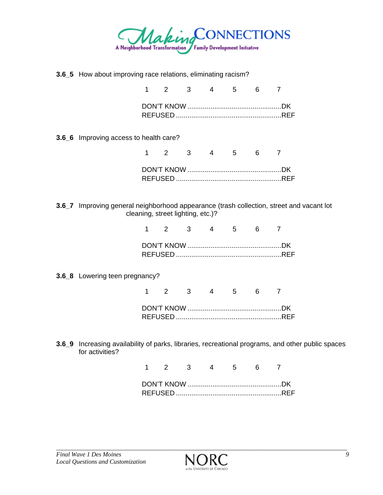

**3.6\_5** How about improving race relations, eliminating racism?

|  | 1 2 3 4 5 6 7 |  |  |
|--|---------------|--|--|
|  |               |  |  |

**3.6\_6** Improving access to health care?

1 2 3 4 5 6 7 DON'T KNOW ................................................. DK REFUSED ....................................................... REF

**3.6\_7** Improving general neighborhood appearance (trash collection, street and vacant lot cleaning, street lighting, etc.)?

|  | $1 \quad 2 \quad 3 \quad 4 \quad 5 \quad 6 \quad 7$ |  |  |
|--|-----------------------------------------------------|--|--|
|  |                                                     |  |  |
|  |                                                     |  |  |

**3.6\_8** Lowering teen pregnancy?

|  | $\begin{array}{cccccccc} \mathbf{2} & \mathbf{3} & \mathbf{4} & \mathbf{5} \end{array}$ |  |  |  |
|--|-----------------------------------------------------------------------------------------|--|--|--|
|  |                                                                                         |  |  |  |
|  |                                                                                         |  |  |  |
|  |                                                                                         |  |  |  |

**3.6\_9** Increasing availability of parks, libraries, recreational programs, and other public spaces for activities?

|  | $\begin{array}{cccccccc} \mathbf{2} & \mathbf{3} & \mathbf{4} & \mathbf{5} \end{array}$ |  |  |  |
|--|-----------------------------------------------------------------------------------------|--|--|--|
|  |                                                                                         |  |  |  |
|  |                                                                                         |  |  |  |
|  |                                                                                         |  |  |  |

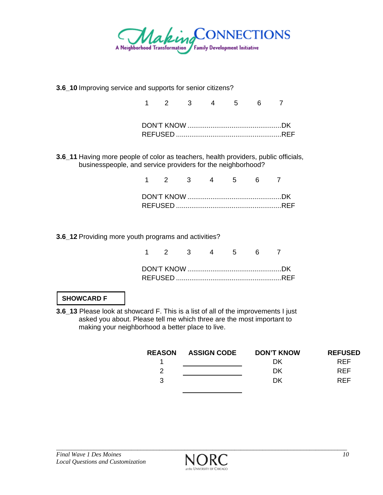

**3.6\_10** Improving service and supports for senior citizens?

|  |  | 1 2 3 4 5 6 |  |  |
|--|--|-------------|--|--|
|  |  |             |  |  |
|  |  |             |  |  |
|  |  |             |  |  |

**3.6\_11** Having more people of color as teachers, health providers, public officials, businesspeople, and service providers for the neighborhood?

|  |  |  | 1 2 3 4 5 6 7 |  |
|--|--|--|---------------|--|
|  |  |  |               |  |
|  |  |  |               |  |

**3.6\_12** Providing more youth programs and activities?

|  |  | 1 2 3 4 5 6 7 |  |  |
|--|--|---------------|--|--|
|  |  |               |  |  |
|  |  |               |  |  |

# **SHOWCARD F**

**3.6\_13** Please look at showcard F. This is a list of all of the improvements I just asked you about. Please tell me which three are the most important to making your neighborhood a better place to live.

| <b>REASON</b> | <b>ASSIGN CODE</b> | <b>DON'T KNOW</b> | <b>REFUSED</b> |
|---------------|--------------------|-------------------|----------------|
|               |                    | DΚ                | <b>RFF</b>     |
| 2             |                    | DK                | <b>RFF</b>     |
| 3             |                    | <b>DK</b>         | <b>RFF</b>     |
|               |                    |                   |                |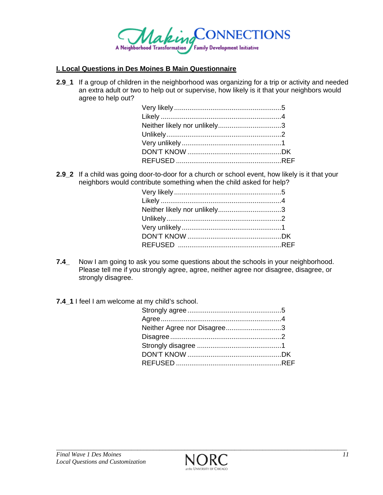

#### **I. Local Questions in Des Moines B Main Questionnaire**

**2.9\_1** If a group of children in the neighborhood was organizing for a trip or activity and needed an extra adult or two to help out or supervise, how likely is it that your neighbors would agree to help out?

**2.9\_2** If a child was going door-to-door for a church or school event, how likely is it that your neighbors would contribute something when the child asked for help?

| Neither likely nor unlikely3 |  |
|------------------------------|--|
|                              |  |
|                              |  |
|                              |  |
|                              |  |
|                              |  |

- **7.4\_** Now I am going to ask you some questions about the schools in your neighborhood. Please tell me if you strongly agree, agree, neither agree nor disagree, disagree, or strongly disagree.
- **7.4\_1** I feel I am welcome at my child's school.

| Neither Agree nor Disagree3 |  |
|-----------------------------|--|
|                             |  |
|                             |  |
|                             |  |
|                             |  |

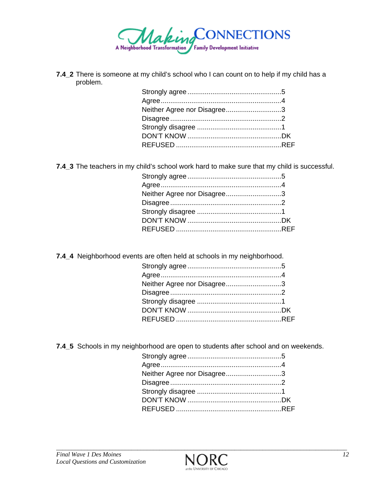

**7.4\_2** There is someone at my child's school who I can count on to help if my child has a problem.

| Neither Agree nor Disagree3 |  |
|-----------------------------|--|
|                             |  |
|                             |  |
|                             |  |
|                             |  |

**7.4\_3** The teachers in my child's school work hard to make sure that my child is successful.

| Neither Agree nor Disagree3 |  |
|-----------------------------|--|
|                             |  |
|                             |  |
|                             |  |
|                             |  |

**7.4\_4** Neighborhood events are often held at schools in my neighborhood.

| Neither Agree nor Disagree3 |  |
|-----------------------------|--|
|                             |  |
|                             |  |
|                             |  |
|                             |  |
|                             |  |

**7.4\_5** Schools in my neighborhood are open to students after school and on weekends.

| Neither Agree nor Disagree3 |  |
|-----------------------------|--|
|                             |  |
|                             |  |
|                             |  |
|                             |  |
|                             |  |

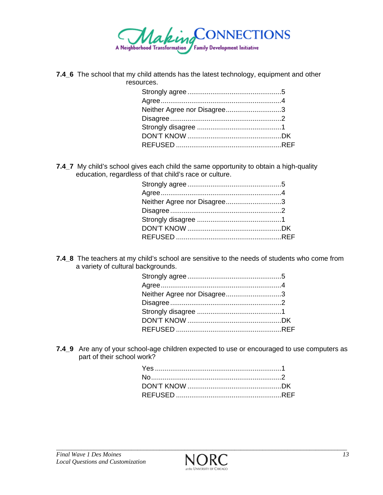

**7.4\_6** The school that my child attends has the latest technology, equipment and other resources.

| Neither Agree nor Disagree3 |  |
|-----------------------------|--|
|                             |  |
|                             |  |
|                             |  |
|                             |  |

**7.4\_7** My child's school gives each child the same opportunity to obtain a high-quality education, regardless of that child's race or culture.

| Neither Agree nor Disagree3 |  |
|-----------------------------|--|
|                             |  |
|                             |  |
|                             |  |
|                             |  |
|                             |  |

**7.4\_8** The teachers at my child's school are sensitive to the needs of students who come from a variety of cultural backgrounds.

| Neither Agree nor Disagree3 |  |
|-----------------------------|--|
|                             |  |
|                             |  |
|                             |  |
|                             |  |
|                             |  |

**7.4\_9** Are any of your school-age children expected to use or encouraged to use computers as part of their school work?

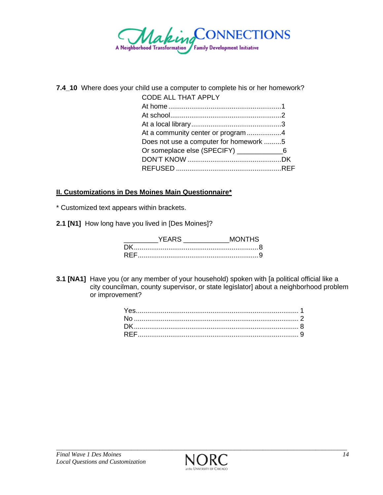

**7.4\_10** Where does your child use a computer to complete his or her homework?

| <b>CODE ALL THAT APPLY</b>                   |  |
|----------------------------------------------|--|
|                                              |  |
|                                              |  |
|                                              |  |
| At a community center or program 4           |  |
| Does not use a computer for homework 5       |  |
| Or someplace else (SPECIFY) _______________6 |  |
|                                              |  |
|                                              |  |
|                                              |  |

### **II. Customizations in Des Moines Main Questionnaire\***

\* Customized text appears within brackets.

**2.1 [N1]** How long have you lived in [Des Moines]?

| Y ⊢∆ R' | ONTHS |
|---------|-------|
|         |       |
|         |       |

**3.1 [NA1]** Have you (or any member of your household) spoken with [a political official like a city councilman, county supervisor, or state legislator] about a neighborhood problem or improvement?

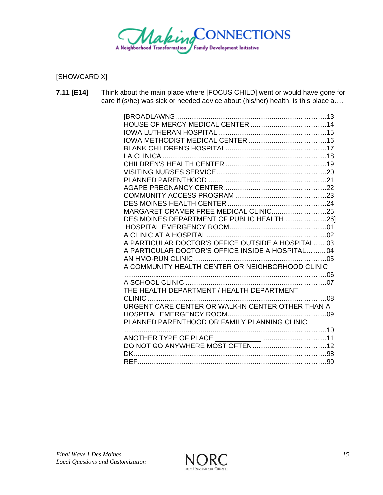

[SHOWCARD X]

| 5000<br>care if (s/he) was sick or needed advice about (his/her) health, is this place a |
|------------------------------------------------------------------------------------------|
|                                                                                          |
|                                                                                          |
|                                                                                          |
|                                                                                          |
|                                                                                          |
|                                                                                          |
|                                                                                          |
|                                                                                          |
|                                                                                          |
|                                                                                          |
|                                                                                          |
|                                                                                          |
| MARGARET CRAMER FREE MEDICAL CLINIC 25                                                   |
| DES MOINES DEPARTMENT OF PUBLIC HEALTH  26]                                              |
|                                                                                          |
|                                                                                          |
| A PARTICULAR DOCTOR'S OFFICE OUTSIDE A HOSPITAL 03                                       |
| A PARTICULAR DOCTOR'S OFFICE INSIDE A HOSPITAL 04                                        |
|                                                                                          |
| A COMMUNITY HEALTH CENTER OR NEIGHBORHOOD CLINIC                                         |
|                                                                                          |
|                                                                                          |
| THE HEALTH DEPARTMENT / HEALTH DEPARTMENT                                                |
|                                                                                          |
| URGENT CARE CENTER OR WALK-IN CENTER OTHER THAN A                                        |
|                                                                                          |
| PLANNED PARENTHOOD OR FAMILY PLANNING CLINIC                                             |
|                                                                                          |
|                                                                                          |
|                                                                                          |
|                                                                                          |
|                                                                                          |
|                                                                                          |

**7.11 [E14]** Think about the main place where [FOCUS CHILD] went or would have gone for

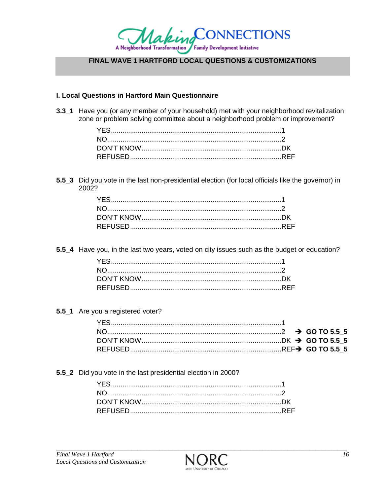

# FINAL WAVE 1 HARTFORD LOCAL QUESTIONS & CUSTOMIZATIONS

#### **I. Local Questions in Hartford Main Questionnaire**

3.3\_1 Have you (or any member of your household) met with your neighborhood revitalization zone or problem solving committee about a neighborhood problem or improvement?

5.5\_3 Did you vote in the last non-presidential election (for local officials like the governor) in 2002?

5.5\_4 Have you, in the last two years, voted on city issues such as the budget or education?

5.5\_1 Are you a registered voter?

5.5\_2 Did you vote in the last presidential election in 2000?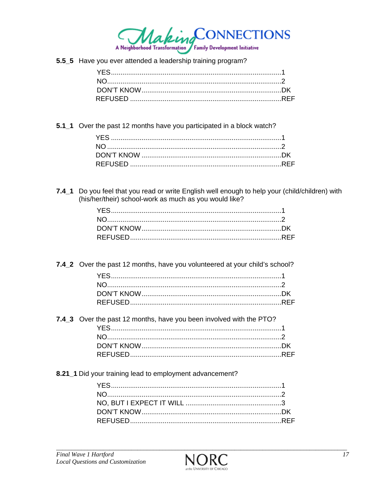

5.5\_5 Have you ever attended a leadership training program?

5.1\_1 Over the past 12 months have you participated in a block watch?

7.4\_1 Do you feel that you read or write English well enough to help your (child/children) with (his/her/their) school-work as much as you would like?

7.4\_2 Over the past 12 months, have you volunteered at your child's school?

| 7.4_3 Over the past 12 months, have you been involved with the PTO? |  |
|---------------------------------------------------------------------|--|
|                                                                     |  |
|                                                                     |  |
|                                                                     |  |
|                                                                     |  |

# 8.21\_1 Did your training lead to employment advancement?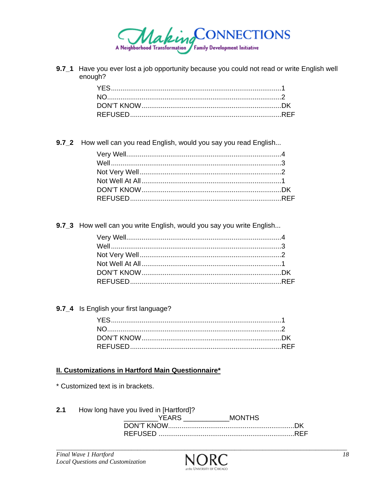

9.7\_1 Have you ever lost a job opportunity because you could not read or write English well enough?

9.7\_2 How well can you read English, would you say you read English...

9.7\_3 How well can you write English, would you say you write English...

9.7\_4 Is English your first language?

### **II. Customizations in Hartford Main Questionnaire\***

\* Customized text is in brackets.

 $2.1$ How long have you lived in [Hartford]? 

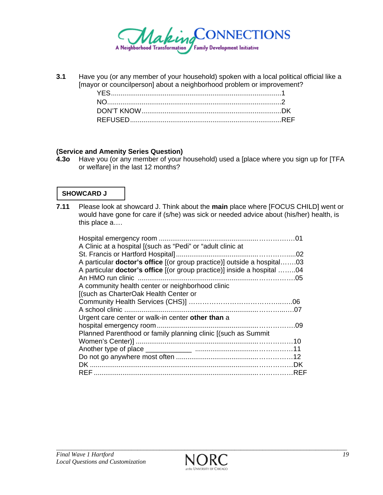

**3.1** Have you (or any member of your household) spoken with a local political official like a [mayor or councilperson] about a neighborhood problem or improvement?

#### **(Service and Amenity Series Question)**

**4.3o** Have you (or any member of your household) used a [place where you sign up for [TFA or welfare] in the last 12 months?

### **SHOWCARD J**

**7.11** Please look at showcard J. Think about the **main** place where [FOCUS CHILD] went or would have gone for care if (s/he) was sick or needed advice about (his/her) health, is this place a….

| A particular <b>doctor's office</b> [(or group practice)] outside a hospital03 |
|--------------------------------------------------------------------------------|
| A particular <b>doctor's office</b> [(or group practice)] inside a hospital 04 |
|                                                                                |
|                                                                                |
|                                                                                |
|                                                                                |
|                                                                                |
|                                                                                |
|                                                                                |
|                                                                                |
|                                                                                |
|                                                                                |
|                                                                                |
|                                                                                |
|                                                                                |
|                                                                                |

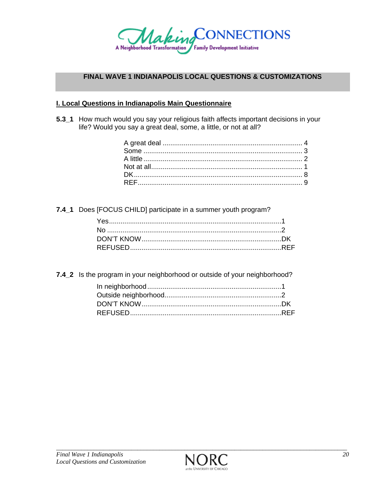

### **FINAL WAVE 1 INDIANAPOLIS LOCAL QUESTIONS & CUSTOMIZATIONS**

#### I. Local Questions in Indianapolis Main Questionnaire

5.3\_1 How much would you say your religious faith affects important decisions in your life? Would you say a great deal, some, a little, or not at all?

7.4\_1 Does [FOCUS CHILD] participate in a summer youth program?

7.4\_2 Is the program in your neighborhood or outside of your neighborhood?

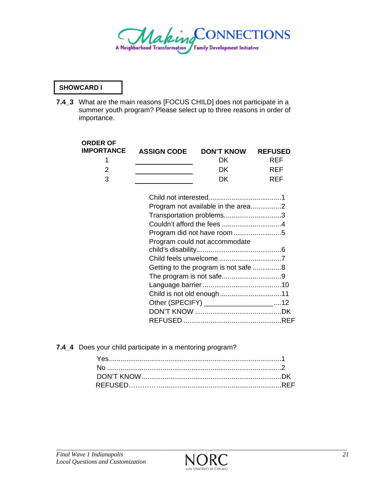

### **SHOWCARD I**

**7.4\_3** What are the main reasons [FOCUS CHILD] does not participate in a summer youth program? Please select up to three reasons in order of importance.

| <b>ORDER OF</b><br><b>IMPORTANCE</b> | <b>ASSIGN CODE</b> | <b>DON'T KNOW</b>                      | <b>REFUSED</b> |
|--------------------------------------|--------------------|----------------------------------------|----------------|
| 1                                    |                    | DK                                     | <b>REF</b>     |
| 2                                    |                    | DK                                     | <b>REF</b>     |
| 3                                    |                    | <b>DK</b>                              | REF            |
|                                      |                    |                                        |                |
|                                      |                    |                                        |                |
|                                      |                    | Transportation problems3               |                |
|                                      |                    |                                        |                |
|                                      |                    | Program did not have room 5            |                |
|                                      |                    | Program could not accommodate          |                |
|                                      |                    |                                        |                |
|                                      |                    |                                        |                |
|                                      |                    | Getting to the program is not safe 8   |                |
|                                      |                    |                                        |                |
|                                      |                    |                                        |                |
|                                      |                    | Child is not old enough11              |                |
|                                      |                    | Other (SPECIFY) ____________________12 |                |
|                                      |                    |                                        |                |
|                                      |                    |                                        |                |

**7.4\_4** Does your child participate in a mentoring program?

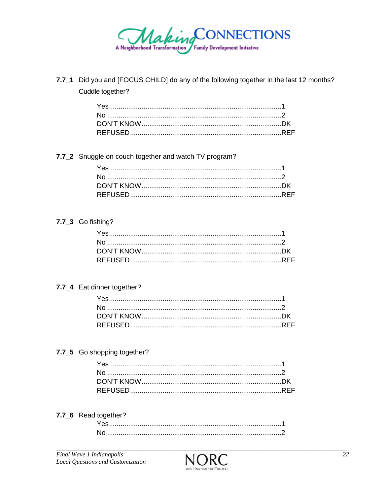

7.7\_1 Did you and [FOCUS CHILD] do any of the following together in the last 12 months? Cuddle together?

### 7.7\_2 Snuggle on couch together and watch TV program?

### 7.7\_3 Go fishing?

# 7.7\_4 Eat dinner together?

### 7.7\_5 Go shopping together?

### 7.7\_6 Read together?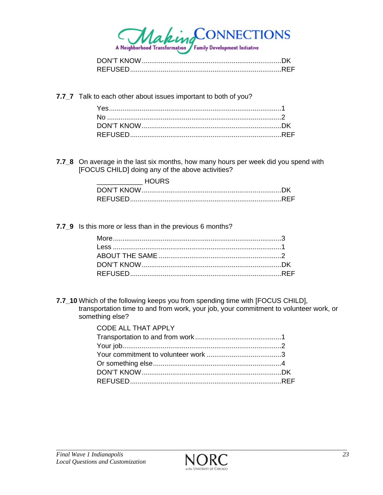

7.7\_7 Talk to each other about issues important to both of you?

7.7\_8 On average in the last six months, how many hours per week did you spend with [FOCUS CHILD] doing any of the above activities?

| HOURS. |  |
|--------|--|
|        |  |
|        |  |

7.7 9 Is this more or less than in the previous 6 months?

7.7\_10 Which of the following keeps you from spending time with [FOCUS CHILD], transportation time to and from work, your job, your commitment to volunteer work, or something else?

| <b>CODE ALL THAT APPLY</b> |  |
|----------------------------|--|
|                            |  |
|                            |  |
|                            |  |
|                            |  |
|                            |  |
|                            |  |

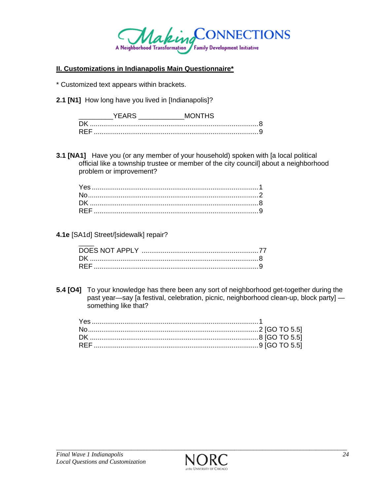

### **II. Customizations in Indianapolis Main Questionnaire\***

\* Customized text appears within brackets.

**2.1 [N1]** How long have you lived in [Indianapolis]?

| nι  |  |
|-----|--|
| RFF |  |

**3.1 [NA1]** Have you (or any member of your household) spoken with [a local political official like a township trustee or member of the city council] about a neighborhood problem or improvement?

### **4.1e** [SA1d] Street/[sidewalk] repair?

**5.4 [O4]** To your knowledge has there been any sort of neighborhood get-together during the past year—say [a festival, celebration, picnic, neighborhood clean-up, block party] something like that?

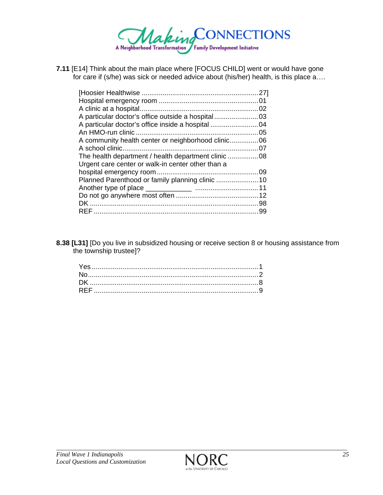

**7.11** [E14] Think about the main place where [FOCUS CHILD] went or would have gone for care if (s/he) was sick or needed advice about (his/her) health, is this place a....

| Urgent care center or walk-in center other than a |  |
|---------------------------------------------------|--|
|                                                   |  |
|                                                   |  |
|                                                   |  |
|                                                   |  |
|                                                   |  |
|                                                   |  |
|                                                   |  |

**8.38 [L31]** [Do you live in subsidized housing or receive section 8 or housing assistance from the township trustee]?

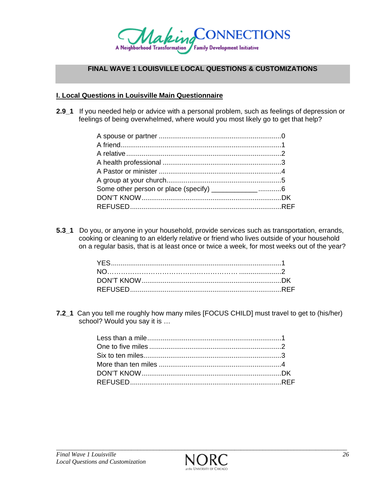

### **FINAL WAVE 1 LOUISVILLE LOCAL QUESTIONS & CUSTOMIZATIONS**

#### **I. Local Questions in Louisville Main Questionnaire**

**2.9\_1** If you needed help or advice with a personal problem, such as feelings of depression or feelings of being overwhelmed, where would you most likely go to get that help?

| Some other person or place (specify) ______________6 |  |
|------------------------------------------------------|--|
|                                                      |  |
|                                                      |  |

**5.3\_1** Do you, or anyone in your household, provide services such as transportation, errands, cooking or cleaning to an elderly relative or friend who lives outside of your household on a regular basis, that is at least once or twice a week, for most weeks out of the year?

**7.2\_1** Can you tell me roughly how many miles [FOCUS CHILD] must travel to get to (his/her) school? Would you say it is …

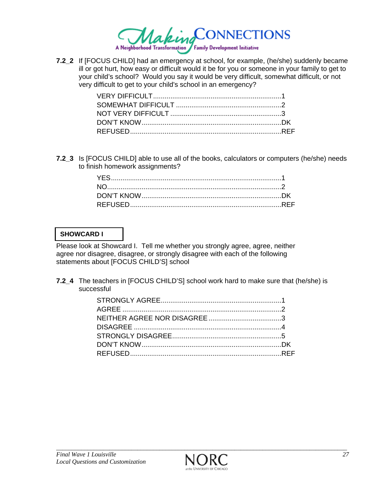

**7.2\_2** If [FOCUS CHILD] had an emergency at school, for example, (he/she) suddenly became ill or got hurt, how easy or difficult would it be for you or someone in your family to get to your child's school? Would you say it would be very difficult, somewhat difficult, or not very difficult to get to your child's school in an emergency?

**7.2\_3** Is [FOCUS CHILD] able to use all of the books, calculators or computers (he/she) needs to finish homework assignments?

### **SHOWCARD I**

Please look at Showcard I. Tell me whether you strongly agree, agree, neither agree nor disagree, disagree, or strongly disagree with each of the following statements about [FOCUS CHILD'S] school

**7.2\_4** The teachers in [FOCUS CHILD'S] school work hard to make sure that (he/she) is successful

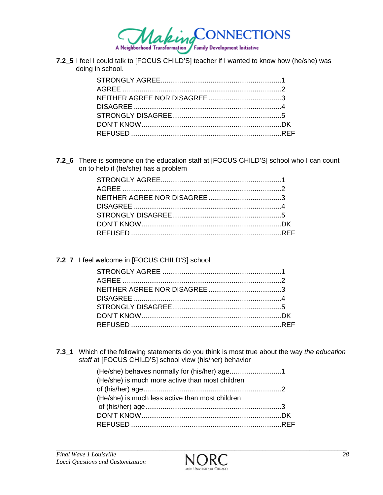

7.2\_5 I feel I could talk to [FOCUS CHILD'S] teacher if I wanted to know how (he/she) was doing in school.

7.2\_6 There is someone on the education staff at [FOCUS CHILD'S] school who I can count on to help if (he/she) has a problem

7.2\_7 I feel welcome in [FOCUS CHILD'S] school

7.3\_1 Which of the following statements do you think is most true about the way the education staff at [FOCUS CHILD'S] school view (his/her) behavior

| (He/she) is much more active than most children |  |
|-------------------------------------------------|--|
|                                                 |  |
| (He/she) is much less active than most children |  |
|                                                 |  |
|                                                 |  |
|                                                 |  |

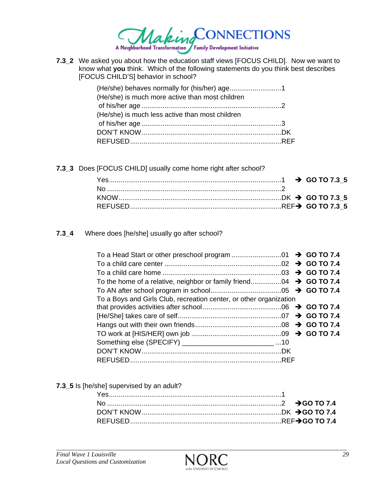

**7.3\_2** We asked you about how the education staff views [FOCUS CHILD]. Now we want to know what **you** think. Which of the following statements do you think best describes [FOCUS CHILD'S] behavior in school?

| (He/she) is much more active than most children |  |
|-------------------------------------------------|--|
|                                                 |  |
| (He/she) is much less active than most children |  |
|                                                 |  |
|                                                 |  |
|                                                 |  |

**7.3\_3** Does [FOCUS CHILD] usually come home right after school?

**7.3\_4** Where does [he/she] usually go after school?

| To a Boys and Girls Club, recreation center, or other organization |  |  |  |
|--------------------------------------------------------------------|--|--|--|
|                                                                    |  |  |  |
|                                                                    |  |  |  |
|                                                                    |  |  |  |
|                                                                    |  |  |  |
| Something else (SPECIFY) ________________________________10        |  |  |  |
|                                                                    |  |  |  |
|                                                                    |  |  |  |

**7.3\_5** Is [he/she] supervised by an adult?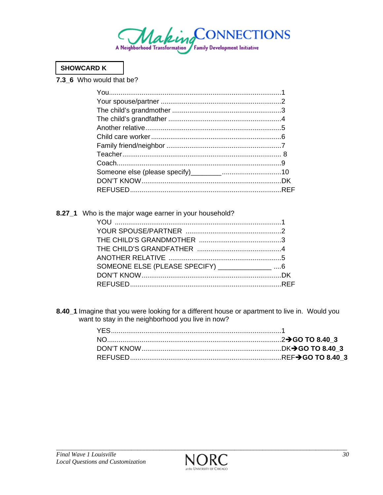

## **SHOWCARD K**

7.3\_6 Who would that be?

|  | 8.27_1 Who is the major wage earner in your household? |  |
|--|--------------------------------------------------------|--|
|  |                                                        |  |
|  |                                                        |  |
|  |                                                        |  |
|  |                                                        |  |
|  |                                                        |  |
|  | SOMEONE ELSE (PLEASE SPECIFY) ______________ 6         |  |
|  |                                                        |  |
|  |                                                        |  |

8.40\_1 Imagine that you were looking for a different house or apartment to live in. Would you want to stay in the neighborhood you live in now?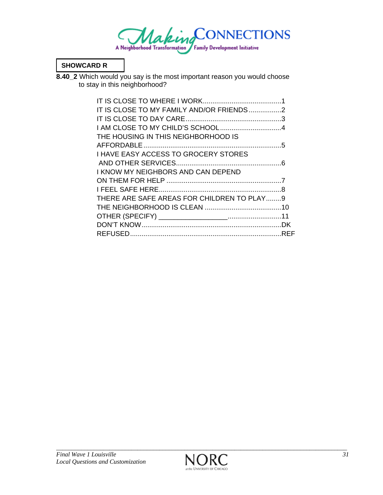

### **SHOWCARD R**

**8.40\_2** Which would you say is the most important reason you would choose to stay in this neighborhood?

| IT IS CLOSE TO MY FAMILY AND/OR FRIENDS 2   |  |
|---------------------------------------------|--|
|                                             |  |
|                                             |  |
| THE HOUSING IN THIS NEIGHBORHOOD IS         |  |
|                                             |  |
| <b>I HAVE EASY ACCESS TO GROCERY STORES</b> |  |
|                                             |  |
| I KNOW MY NEIGHBORS AND CAN DEPEND          |  |
|                                             |  |
|                                             |  |
| THERE ARE SAFE AREAS FOR CHILDREN TO PLAY9  |  |
|                                             |  |
|                                             |  |
|                                             |  |
|                                             |  |

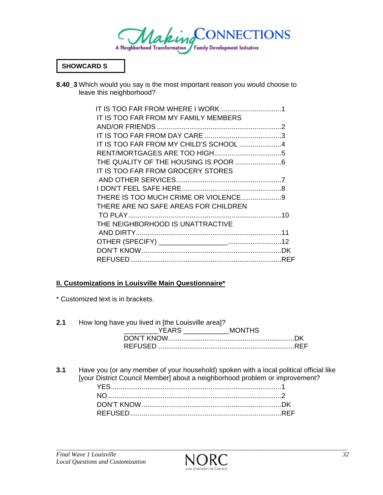

### **SHOWCARD S**

**8.40\_3** Which would you say is the most important reason you would choose to leave this neighborhood?

| IT IS TOO FAR FROM MY FAMILY MEMBERS   |  |
|----------------------------------------|--|
|                                        |  |
|                                        |  |
| IT IS TOO FAR FROM MY CHILD'S SCHOOL 4 |  |
|                                        |  |
|                                        |  |
| IT IS TOO FAR FROM GROCERY STORES      |  |
|                                        |  |
|                                        |  |
|                                        |  |
| THERE ARE NO SAFE AREAS FOR CHILDREN   |  |
|                                        |  |
| THE NEIGHBORHOOD IS UNATTRACTIVE       |  |
|                                        |  |
|                                        |  |
|                                        |  |
|                                        |  |

### **II. Customizations in Louisville Main Questionnaire\***

\* Customized text is in brackets.

| 2.1 | How long have you lived in [the Louisville area]? |  |
|-----|---------------------------------------------------|--|
|     | YEARS MONTHS                                      |  |
|     |                                                   |  |
|     |                                                   |  |

**3.1** Have you (or any member of your household) spoken with a local political official like [your District Council Member] about a neighborhood problem or improvement? YES ......................................................................................... 1 NO ........................................................................................... 2 DON'T KNOW ......................................................................... DK REFUSED ............................................................................... REF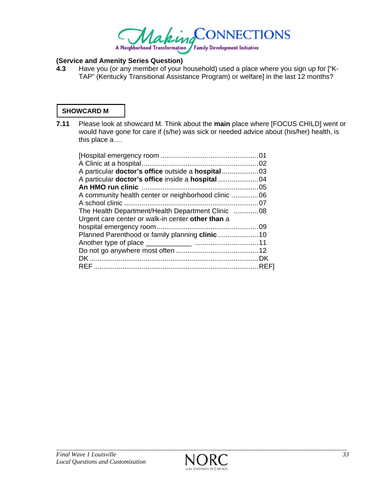

# **(Service and Amenity Series Question)**

**4.3** Have you (or any member of your household) used a place where you sign up for ["K- TAP" (Kentucky Transitional Assistance Program) or welfare] in the last 12 months?

### **SHOWCARD M**

**7.11** Please look at showcard M. Think about the **main** place where [FOCUS CHILD] went or would have gone for care if (s/he) was sick or needed advice about (his/her) health, is this place a….

| The Health Department/Health Department Clinic 08 |  |
|---------------------------------------------------|--|
| Urgent care center or walk-in center other than a |  |
|                                                   |  |
|                                                   |  |
|                                                   |  |
|                                                   |  |
|                                                   |  |
|                                                   |  |
|                                                   |  |

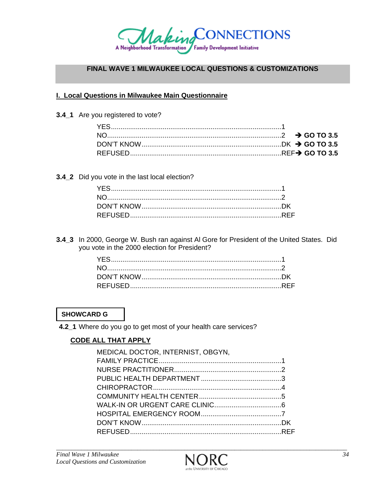

## FINAL WAVE 1 MILWAUKEE LOCAL QUESTIONS & CUSTOMIZATIONS

### I. Local Questions in Milwaukee Main Questionnaire

3.4\_1 Are you registered to vote?

3.4\_2 Did you vote in the last local election?

3.4\_3 In 2000, George W. Bush ran against AI Gore for President of the United States. Did you vote in the 2000 election for President?

### **SHOWCARD G**

4.2\_1 Where do you go to get most of your health care services?

# **CODE ALL THAT APPLY**

| MEDICAL DOCTOR, INTERNIST, OBGYN, |  |
|-----------------------------------|--|
|                                   |  |
|                                   |  |
|                                   |  |
|                                   |  |
|                                   |  |
|                                   |  |
|                                   |  |
|                                   |  |
|                                   |  |

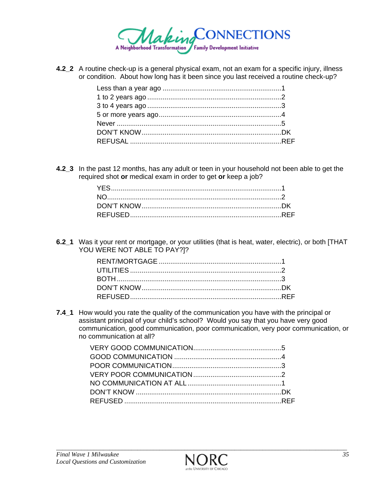

**4.2\_2** A routine check-up is a general physical exam, not an exam for a specific injury, illness or condition. About how long has it been since you last received a routine check-up?

**4.2\_3** In the past 12 months, has any adult or teen in your household not been able to get the required shot **or** medical exam in order to get **or** keep a job?

**6.2\_1** Was it your rent or mortgage, or your utilities (that is heat, water, electric), or both [THAT YOU WERE NOT ABLE TO PAY?]?

**7.4\_1** How would you rate the quality of the communication you have with the principal or assistant principal of your child's school? Would you say that you have very good communication, good communication, poor communication, very poor communication, or no communication at all?

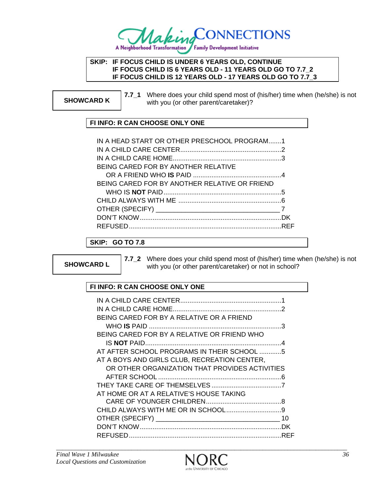

#### **SKIP: IF FOCUS CHILD IS UNDER 6 YEARS OLD, CONTINUE IF FOCUS CHILD IS 6 YEARS OLD - 11 YEARS OLD GO TO 7.7\_2 IF FOCUS CHILD IS 12 YEARS OLD - 17 YEARS OLD GO TO 7.7\_3**

**SHOWCARD K 7.7\_1** Where does your child spend most of (his/her) time when (he/she) is not with you (or other parent/caretaker)? with you (or other parent/caretaker)?

# **FI INFO: R CAN CHOOSE ONLY ONE**

| IN A HEAD START OR OTHER PRESCHOOL PROGRAM1   |  |
|-----------------------------------------------|--|
|                                               |  |
|                                               |  |
| BEING CARED FOR BY ANOTHER RELATIVE           |  |
|                                               |  |
| BEING CARED FOR BY ANOTHER RELATIVE OR FRIEND |  |
|                                               |  |
|                                               |  |
|                                               |  |
|                                               |  |
|                                               |  |

### **SKIP: GO TO 7.8**

**SHOWCARD L** 

**7.7\_2** Where does your child spend most of (his/her) time when (he/she) is not with you (or other parent/caretaker) or not in school?

### **FI INFO: R CAN CHOOSE ONLY ONE**

| BEING CARED FOR BY A RELATIVE OR A FRIEND      |    |
|------------------------------------------------|----|
|                                                |    |
| BEING CARED FOR BY A RELATIVE OR FRIEND WHO    |    |
|                                                |    |
| AT AFTER SCHOOL PROGRAMS IN THEIR SCHOOL 5     |    |
| AT A BOYS AND GIRLS CLUB, RECREATION CENTER,   |    |
| OR OTHER ORGANIZATION THAT PROVIDES ACTIVITIES |    |
|                                                |    |
|                                                |    |
| AT HOME OR AT A RELATIVE'S HOUSE TAKING        |    |
|                                                | Я  |
|                                                |    |
|                                                | 10 |
|                                                |    |
|                                                |    |

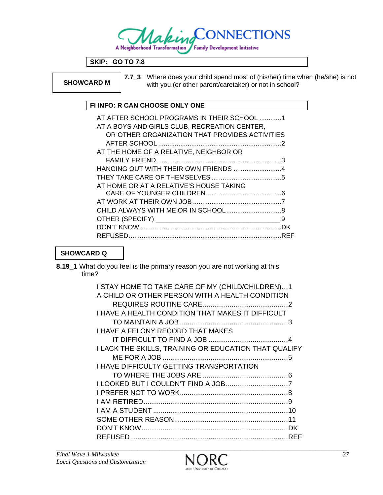

**SKIP: GO TO 7.8** 

**SHOWCARD M** 

**7.7\_3** Where does your child spend most of (his/her) time when (he/she) is not with you (or other parent/caretaker) or not in school?

### **FI INFO: R CAN CHOOSE ONLY ONE**

| AT AFTER SCHOOL PROGRAMS IN THEIR SCHOOL 1     |   |
|------------------------------------------------|---|
| AT A BOYS AND GIRLS CLUB, RECREATION CENTER,   |   |
| OR OTHER ORGANIZATION THAT PROVIDES ACTIVITIES |   |
|                                                |   |
| AT THE HOME OF A RELATIVE, NEIGHBOR OR         |   |
|                                                |   |
|                                                |   |
|                                                |   |
| AT HOME OR AT A RELATIVE'S HOUSE TAKING        |   |
|                                                |   |
|                                                |   |
|                                                |   |
|                                                | 9 |
|                                                |   |
|                                                |   |

# **SHOWCARD Q**

**8.19\_1** What do you feel is the primary reason you are not working at this time?

| I STAY HOME TO TAKE CARE OF MY (CHILD/CHILDREN)1<br>A CHILD OR OTHER PERSON WITH A HEALTH CONDITION |
|-----------------------------------------------------------------------------------------------------|
|                                                                                                     |
| <b>I HAVE A HEALTH CONDITION THAT MAKES IT DIFFICULT</b>                                            |
|                                                                                                     |
| <b>I HAVE A FELONY RECORD THAT MAKES</b>                                                            |
|                                                                                                     |
| I LACK THE SKILLS, TRAINING OR EDUCATION THAT QUALIFY                                               |
|                                                                                                     |
| <b>I HAVE DIFFICULTY GETTING TRANSPORTATION</b>                                                     |
|                                                                                                     |
|                                                                                                     |
|                                                                                                     |
|                                                                                                     |
|                                                                                                     |
|                                                                                                     |
|                                                                                                     |
|                                                                                                     |

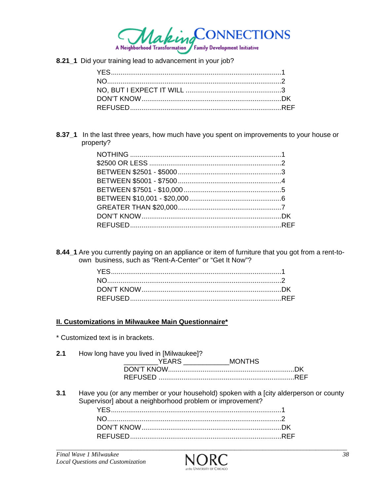

8.21\_1 Did your training lead to advancement in your job?

8.37\_1 In the last three years, how much have you spent on improvements to your house or property?

8.44\_1 Are you currently paying on an appliance or item of furniture that you got from a rent-toown business, such as "Rent-A-Center" or "Get It Now"?

### II. Customizations in Milwaukee Main Questionnaire\*

\* Customized text is in brackets.

| 2.1 | How long have you lived in [Milwaukee]? |               |  |
|-----|-----------------------------------------|---------------|--|
|     | <b>YEARS</b>                            | <b>MONTHS</b> |  |
|     |                                         |               |  |
|     |                                         |               |  |
|     |                                         |               |  |

 $3.1$ Have you (or any member or your household) spoken with a [city alderperson or county Supervisor] about a neighborhood problem or improvement?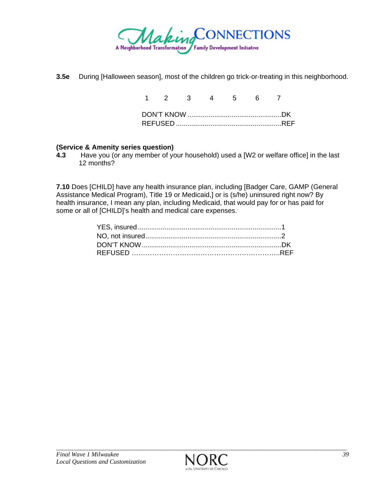

**3.5e** During [Halloween season], most of the children go trick-or-treating in this neighborhood.

|  | 1 2 3 4 5 6 7 |  |  |  |
|--|---------------|--|--|--|
|  |               |  |  |  |
|  |               |  |  |  |

### **(Service & Amenity series question)**

**4.3** Have you (or any member of your household) used a [W2 or welfare office] in the last 12 months?

**7.10** Does [CHILD] have any health insurance plan, including [Badger Care, GAMP (General Assistance Medical Program), Title 19 or Medicaid,] or is (s/he) uninsured right now? By health insurance, I mean any plan, including Medicaid, that would pay for or has paid for some or all of [CHILD]'s health and medical care expenses.

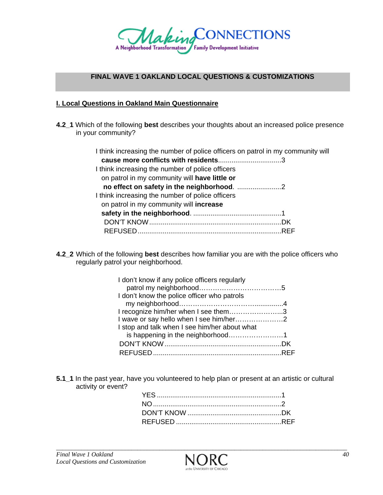

### **FINAL WAVE 1 OAKLAND LOCAL QUESTIONS & CUSTOMIZATIONS**

#### **I. Local Questions in Oakland Main Questionnaire**

**4.2\_1** Which of the following **best** describes your thoughts about an increased police presence in your community?

| I think increasing the number of police officers on patrol in my community will |  |
|---------------------------------------------------------------------------------|--|
|                                                                                 |  |
| I think increasing the number of police officers                                |  |
| on patrol in my community will have little or                                   |  |
|                                                                                 |  |
| I think increasing the number of police officers                                |  |
| on patrol in my community will increase                                         |  |
|                                                                                 |  |
|                                                                                 |  |
|                                                                                 |  |
|                                                                                 |  |

**4.2\_2** Which of the following **best** describes how familiar you are with the police officers who regularly patrol your neighborhood.

| I don't know if any police officers regularly |  |
|-----------------------------------------------|--|
|                                               |  |
| I don't know the police officer who patrols   |  |
|                                               |  |
| I recognize him/her when I see them3          |  |
|                                               |  |
| I stop and talk when I see him/her about what |  |
|                                               |  |
|                                               |  |
|                                               |  |

**5.1\_1** In the past year, have you volunteered to help plan or present at an artistic or cultural activity or event?

*\_\_\_\_\_\_\_\_\_\_\_\_\_\_\_\_\_\_\_\_\_\_\_\_\_\_\_\_\_\_\_\_\_\_\_\_\_\_\_\_\_\_\_\_\_\_\_\_\_\_\_\_\_\_\_\_\_\_\_\_\_\_\_\_\_\_\_\_\_\_\_\_\_\_\_\_\_\_\_\_\_\_\_\_\_\_\_\_\_\_\_\_\_*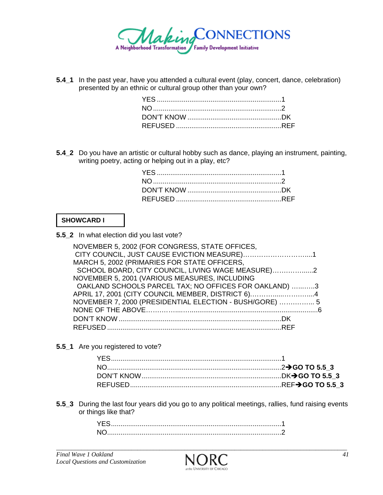

**5.4\_1** In the past year, have you attended a cultural event (play, concert, dance, celebration) presented by an ethnic or cultural group other than your own?

**5.4\_2** Do you have an artistic or cultural hobby such as dance, playing an instrument, painting, writing poetry, acting or helping out in a play, etc?

### **SHOWCARD I**

**5.5\_2** In what election did you last vote?

| NOVEMBER 5, 2002 (FOR CONGRESS, STATE OFFICES,          |  |
|---------------------------------------------------------|--|
|                                                         |  |
| MARCH 5, 2002 (PRIMARIES FOR STATE OFFICERS,            |  |
| SCHOOL BOARD, CITY COUNCIL, LIVING WAGE MEASURE)2       |  |
| NOVEMBER 5, 2001 (VARIOUS MEASURES, INCLUDING           |  |
| OAKLAND SCHOOLS PARCEL TAX; NO OFFICES FOR OAKLAND) 3   |  |
| APRIL 17, 2001 (CITY COUNCIL MEMBER, DISTRICT 6)4       |  |
| NOVEMBER 7, 2000 (PRESIDENTIAL ELECTION - BUSH/GORE)  5 |  |
|                                                         |  |
|                                                         |  |
|                                                         |  |

**5.5\_1** Are you registered to vote?

**5.5\_3** During the last four years did you go to any political meetings, rallies, fund raising events or things like that?

| YE. |  |
|-----|--|
| NI. |  |

*\_\_\_\_\_\_\_\_\_\_\_\_\_\_\_\_\_\_\_\_\_\_\_\_\_\_\_\_\_\_\_\_\_\_\_\_\_\_\_\_\_\_\_\_\_\_\_\_\_\_\_\_\_\_\_\_\_\_\_\_\_\_\_\_\_\_\_\_\_\_\_\_\_\_\_\_\_\_\_\_\_\_\_\_\_\_\_\_\_\_\_\_\_*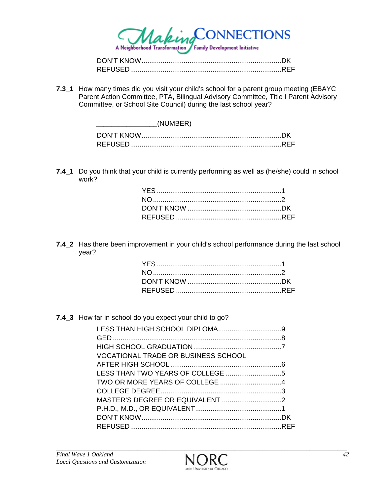

| <b>REFUSED</b> |  |
|----------------|--|

**7.3\_1** How many times did you visit your child's school for a parent group meeting (EBAYC Parent Action Committee, PTA, Bilingual Advisory Committee, Title I Parent Advisory Committee, or School Site Council) during the last school year?

**7.4\_1** Do you think that your child is currently performing as well as (he/she) could in school work?

**7.4\_2** Has there been improvement in your child's school performance during the last school year?

#### **7.4\_3** How far in school do you expect your child to go?

| <b>VOCATIONAL TRADE OR BUSINESS SCHOOL</b> |  |
|--------------------------------------------|--|
|                                            |  |
|                                            |  |
|                                            |  |
|                                            |  |
|                                            |  |
|                                            |  |
|                                            |  |
|                                            |  |

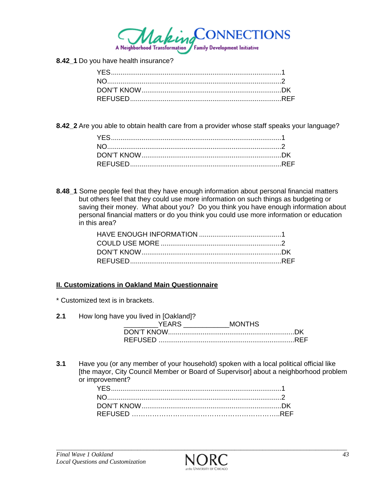

**8.42\_1** Do you have health insurance?

**8.42\_2** Are you able to obtain health care from a provider whose staff speaks your language?

**8.48** 1 Some people feel that they have enough information about personal financial matters but others feel that they could use more information on such things as budgeting or saving their money. What about you? Do you think you have enough information about personal financial matters or do you think you could use more information or education in this area?

### **II. Customizations in Oakland Main Questionnaire**

\* Customized text is in brackets.

**2.1** How long have you lived in [Oakland]?

| VFAR-    | <b>MONTHS</b> |
|----------|---------------|
|          |               |
| REFUSED. |               |

**3.1** Have you (or any member of your household) spoken with a local political official like [the mayor, City Council Member or Board of Supervisor] about a neighborhood problem or improvement?

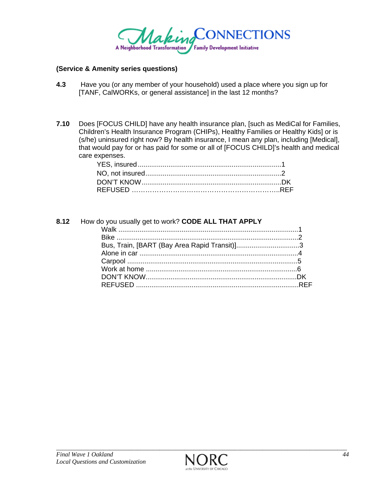

#### **(Service & Amenity series questions)**

- **4.3** Have you (or any member of your household) used a place where you sign up for [TANF, CalWORKs, or general assistance] in the last 12 months?
- **7.10** Does [FOCUS CHILD] have any health insurance plan, [such as MediCal for Families, Children's Health Insurance Program (CHIPs), Healthy Families or Healthy Kids] or is (s/he) uninsured right now? By health insurance, I mean any plan, including [Medical], that would pay for or has paid for some or all of [FOCUS CHILD]'s health and medical care expenses.

| 8.12 How do you usually get to work? CODE ALL THAT APPLY |  |
|----------------------------------------------------------|--|
|                                                          |  |
|                                                          |  |
| Bus, Train, [BART (Bay Area Rapid Transit)]3             |  |
|                                                          |  |
|                                                          |  |
|                                                          |  |
|                                                          |  |
|                                                          |  |
|                                                          |  |

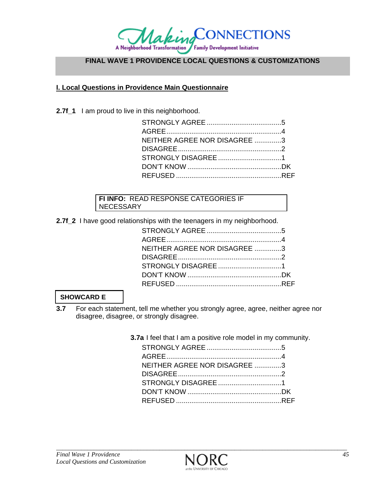

# **FINAL WAVE 1 PROVIDENCE LOCAL QUESTIONS & CUSTOMIZATIONS**

### **I. Local Questions in Providence Main Questionnaire**

2.7f<sub>1</sub> I am proud to live in this neighborhood.

| NEITHER AGREE NOR DISAGREE 3 |  |
|------------------------------|--|
|                              |  |
|                              |  |
|                              |  |
|                              |  |
|                              |  |

#### **FI INFO:** READ RESPONSE CATEGORIES IF NECESSARY

**2.7f\_2** I have good relationships with the teenagers in my neighborhood.

| NEITHER AGREE NOR DISAGREE 3 |  |
|------------------------------|--|
|                              |  |
|                              |  |
|                              |  |
|                              |  |
|                              |  |

### **SHOWCARD E**

**3.7** For each statement, tell me whether you strongly agree, agree, neither agree nor disagree, disagree, or strongly disagree.

 **3.7a** I feel that I am a positive role model in my community.

| NEITHER AGREE NOR DISAGREE 3 |  |
|------------------------------|--|
|                              |  |
|                              |  |
|                              |  |
|                              |  |
|                              |  |

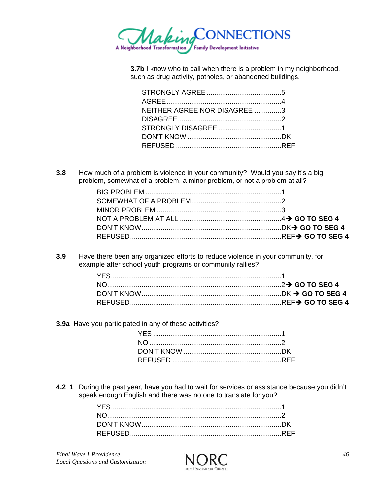

**3.7b** I know who to call when there is a problem in my neighborhood, such as drug activity, potholes, or abandoned buildings.

| NEITHER AGREE NOR DISAGREE 3 |  |
|------------------------------|--|
|                              |  |
|                              |  |
|                              |  |
|                              |  |
|                              |  |

**3.8** How much of a problem is violence in your community? Would you say it's a big problem, somewhat of a problem, a minor problem, or not a problem at all?

**3.9** Have there been any organized efforts to reduce violence in your community, for example after school youth programs or community rallies?

**3.9a** Have you participated in any of these activities?

**4.2\_1** During the past year, have you had to wait for services or assistance because you didn't speak enough English and there was no one to translate for you?

*\_\_\_\_\_\_\_\_\_\_\_\_\_\_\_\_\_\_\_\_\_\_\_\_\_\_\_\_\_\_\_\_\_\_\_\_\_\_\_\_\_\_\_\_\_\_\_\_\_\_\_\_\_\_\_\_\_\_\_\_\_\_\_\_\_\_\_\_\_\_\_\_\_\_\_\_\_\_\_\_\_\_\_\_\_\_\_\_\_\_\_\_\_*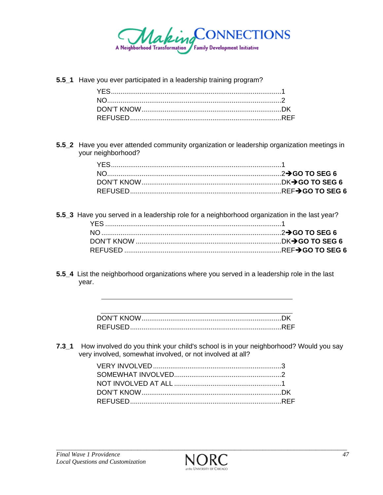

**5.5\_1** Have you ever participated in a leadership training program?

**5.5\_2** Have you ever attended community organization or leadership organization meetings in your neighborhood?

- **5.5\_3** Have you served in a leadership role for a neighborhood organization in the last year? YES ............................................................................................ 1 NO .............................................................................................. 2Î**GO TO SEG 6**  DON'T KNOW ............................................................................ DKÎ**GO TO SEG 6** REFUSED .................................................................................. REFÎ**GO TO SEG 6**
- **5.5\_4** List the neighborhood organizations where you served in a leadership role in the last year.

| DON'T KNOW     |  |
|----------------|--|
| <b>REFUSED</b> |  |

**7.3\_1** How involved do you think your child's school is in your neighborhood? Would you say very involved, somewhat involved, or not involved at all?

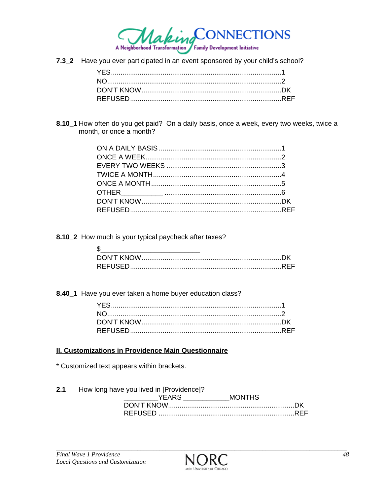

7.3\_2 Have you ever participated in an event sponsored by your child's school?

8.10\_1 How often do you get paid? On a daily basis, once a week, every two weeks, twice a month, or once a month?

8.10\_2 How much is your typical paycheck after taxes?

8.40\_1 Have you ever taken a home buyer education class?

### **II. Customizations in Providence Main Questionnaire**

\* Customized text appears within brackets.

 $2.1$ How long have you lived in [Providence]?

| YFARS | MONTHS |
|-------|--------|
|       |        |
|       |        |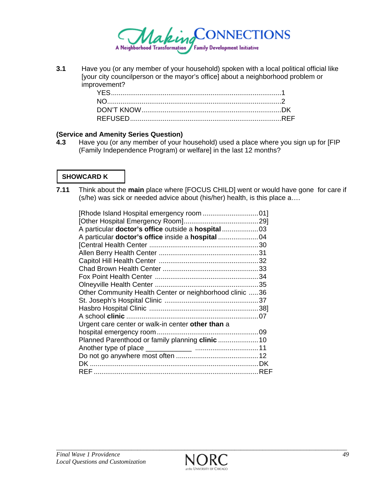

**3.1** Have you (or any member of your household) spoken with a local political official like [your city councilperson or the mayor's office] about a neighborhood problem or improvement?

#### **(Service and Amenity Series Question)**

**4.3** Have you (or any member of your household) used a place where you sign up for [FIP (Family Independence Program) or welfare] in the last 12 months?

# **SHOWCARD K**

**7.11** Think about the **main** place where [FOCUS CHILD] went or would have gone for care if (s/he) was sick or needed advice about (his/her) health, is this place a….

| Other Community Health Center or neighborhood clinic 36 |  |
|---------------------------------------------------------|--|
|                                                         |  |
|                                                         |  |
|                                                         |  |
| Urgent care center or walk-in center other than a       |  |
|                                                         |  |
| Planned Parenthood or family planning clinic  10        |  |
|                                                         |  |
|                                                         |  |
|                                                         |  |
| RFF                                                     |  |
|                                                         |  |



*\_\_\_\_\_\_\_\_\_\_\_\_\_\_\_\_\_\_\_\_\_\_\_\_\_\_\_\_\_\_\_\_\_\_\_\_\_\_\_\_\_\_\_\_\_\_\_\_\_\_\_\_\_\_\_\_\_\_\_\_\_\_\_\_\_\_\_\_\_\_\_\_\_\_\_\_\_\_\_\_\_\_\_\_\_\_\_\_\_\_\_\_\_*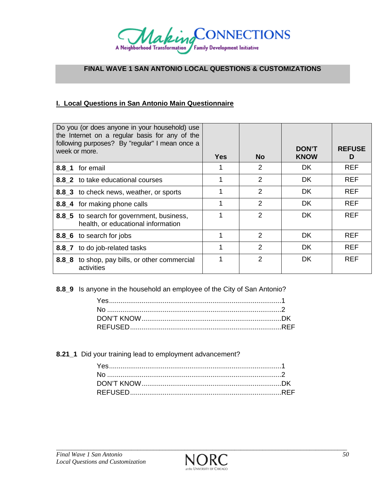

### **FINAL WAVE 1 SAN ANTONIO LOCAL QUESTIONS & CUSTOMIZATIONS**

### **I. Local Questions in San Antonio Main Questionnaire**

|          | Do you (or does anyone in your household) use<br>the Internet on a regular basis for any of the<br>following purposes? By "regular" I mean once a<br>week or more. | <b>Yes</b> | <b>No</b>      | <b>DON'T</b><br><b>KNOW</b> | <b>REFUSE</b><br>D |
|----------|--------------------------------------------------------------------------------------------------------------------------------------------------------------------|------------|----------------|-----------------------------|--------------------|
|          | 8.8 1 for email                                                                                                                                                    |            | 2              | <b>DK</b>                   | <b>REF</b>         |
|          | 8.8 2 to take educational courses                                                                                                                                  |            | 2              | <b>DK</b>                   | <b>REF</b>         |
|          | 8.8 <sub>_3</sub> to check news, weather, or sports                                                                                                                |            | 2              | <b>DK</b>                   | <b>REF</b>         |
|          | 8.8_4 for making phone calls                                                                                                                                       |            | $\overline{2}$ | <b>DK</b>                   | <b>REF</b>         |
|          | 8.8 5 to search for government, business,<br>health, or educational information                                                                                    |            | 2              | <b>DK</b>                   | <b>REF</b>         |
|          | 8.8 6 to search for jobs                                                                                                                                           |            | $\mathcal{P}$  | DK.                         | <b>REF</b>         |
| $8.8\_7$ | to do job-related tasks                                                                                                                                            |            | 2              | <b>DK</b>                   | <b>REF</b>         |
| 8.8 8    | to shop, pay bills, or other commercial<br>activities                                                                                                              |            | 2              | DK                          | <b>REF</b>         |

**8.8\_9** Is anyone in the household an employee of the City of San Antonio?

**8.21\_1** Did your training lead to employment advancement?

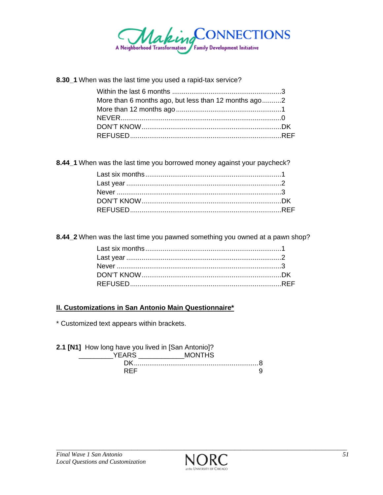

8.30\_1 When was the last time you used a rapid-tax service?

| More than 6 months ago, but less than 12 months ago2 |  |
|------------------------------------------------------|--|
|                                                      |  |
|                                                      |  |
|                                                      |  |
|                                                      |  |

8.44\_1 When was the last time you borrowed money against your paycheck?

8.44\_2 When was the last time you pawned something you owned at a pawn shop?

### **II. Customizations in San Antonio Main Questionnaire\***

\* Customized text appears within brackets.

| 2.1 [N1] How long have you lived in [San Antonio]? |               |  |
|----------------------------------------------------|---------------|--|
| YEARS.                                             | <b>MONTHS</b> |  |
| DK.                                                |               |  |
| <b>RFF</b>                                         |               |  |

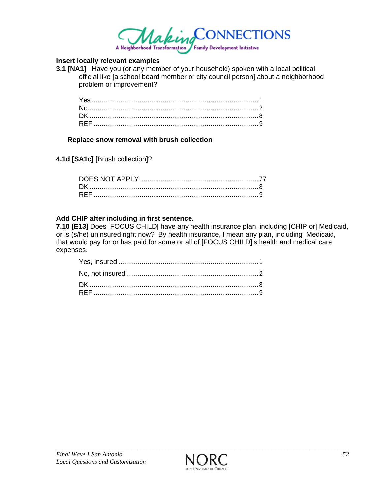

#### **Insert locally relevant examples**

**3.1 [NA1]** Have you (or any member of your household) spoken with a local political official like [a school board member or city council person] about a neighborhood problem or improvement?

#### **Replace snow removal with brush collection**

**4.1d [SA1c]** [Brush collection]?

#### **Add CHIP after including in first sentence.**

**7.10 [E13]** Does [FOCUS CHILD] have any health insurance plan, including [CHIP or] Medicaid, or is (s/he) uninsured right now? By health insurance, I mean any plan, including Medicaid, that would pay for or has paid for some or all of [FOCUS CHILD]'s health and medical care expenses.

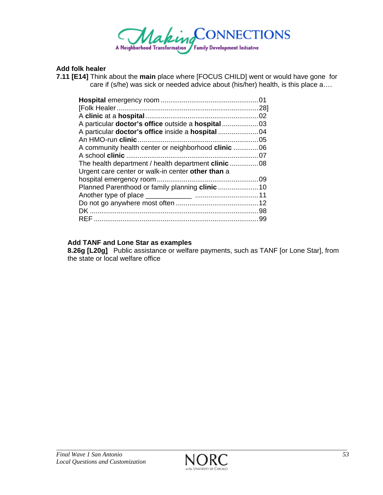

### **Add folk healer**

**7.11 [E14]** Think about the **main** place where [FOCUS CHILD] went or would have gone for care if (s/he) was sick or needed advice about (his/her) health, is this place a….

| A community health center or neighborhood clinic  06       |     |
|------------------------------------------------------------|-----|
|                                                            |     |
| The health department / health department <b>clinic</b> 08 |     |
| Urgent care center or walk-in center other than a          |     |
|                                                            |     |
|                                                            |     |
|                                                            |     |
|                                                            |     |
|                                                            |     |
| RFF                                                        | .99 |
|                                                            |     |

### **Add TANF and Lone Star as examples**

**8.26g [L20g]** Public assistance or welfare payments, such as TANF [or Lone Star], from the state or local welfare office

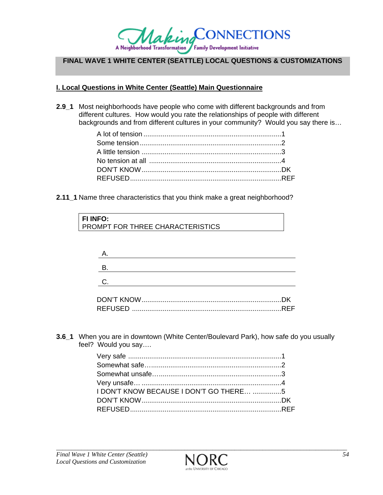

# **FINAL WAVE 1 WHITE CENTER (SEATTLE) LOCAL QUESTIONS & CUSTOMIZATIONS**

### **I. Local Questions in White Center (Seattle) Main Questionnaire**

**2.9\_1** Most neighborhoods have people who come with different backgrounds and from different cultures. How would you rate the relationships of people with different backgrounds and from different cultures in your community? Would you say there is…

**2.11\_1** Name three characteristics that you think make a great neighborhood?

| <b>FI INFO:</b>                  |
|----------------------------------|
| PROMPT FOR THREE CHARACTERISTICS |

| DK. |
|-----|
|     |

**3.6\_1** When you are in downtown (White Center/Boulevard Park), how safe do you usually feel? Would you say….

| <b>I DON'T KNOW BECAUSE I DON'T GO THERE 5</b> |  |
|------------------------------------------------|--|
|                                                |  |
|                                                |  |

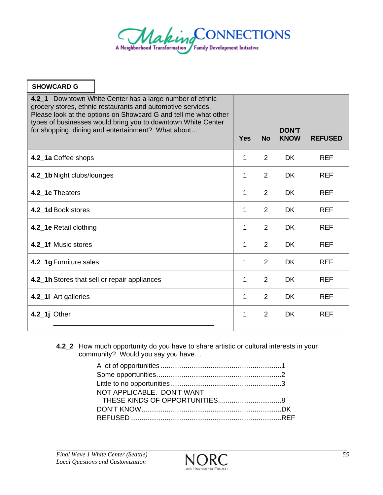

| <b>SHOWCARD G</b>          |                                                                                                                                                                                                                                                                                                                  |            |                |                             |                |
|----------------------------|------------------------------------------------------------------------------------------------------------------------------------------------------------------------------------------------------------------------------------------------------------------------------------------------------------------|------------|----------------|-----------------------------|----------------|
|                            | 4.2_1 Downtown White Center has a large number of ethnic<br>grocery stores, ethnic restaurants and automotive services.<br>Please look at the options on Showcard G and tell me what other<br>types of businesses would bring you to downtown White Center<br>for shopping, dining and entertainment? What about | <b>Yes</b> | <b>No</b>      | <b>DON'T</b><br><b>KNOW</b> | <b>REFUSED</b> |
| 4.2_1a Coffee shops        |                                                                                                                                                                                                                                                                                                                  | 1          | $\overline{2}$ | <b>DK</b>                   | <b>REF</b>     |
| 4.2_1b Night clubs/lounges |                                                                                                                                                                                                                                                                                                                  | 1          | $\overline{2}$ | <b>DK</b>                   | <b>REF</b>     |
| 4.2_1c Theaters            |                                                                                                                                                                                                                                                                                                                  | 1          | 2              | <b>DK</b>                   | <b>REF</b>     |
| 4.2_1d Book stores         |                                                                                                                                                                                                                                                                                                                  | 1          | $\overline{2}$ | <b>DK</b>                   | <b>REF</b>     |
| 4.2_1e Retail clothing     |                                                                                                                                                                                                                                                                                                                  | 1          | $\overline{2}$ | <b>DK</b>                   | <b>REF</b>     |
| 4.2 1f Music stores        |                                                                                                                                                                                                                                                                                                                  | 1          | $\overline{2}$ | <b>DK</b>                   | <b>REF</b>     |
| 4.2_1g Furniture sales     |                                                                                                                                                                                                                                                                                                                  | 1          | 2              | <b>DK</b>                   | <b>REF</b>     |
|                            | 4.2_1h Stores that sell or repair appliances                                                                                                                                                                                                                                                                     | 1          | $\overline{2}$ | <b>DK</b>                   | <b>REF</b>     |
| 4.2_1i Art galleries       |                                                                                                                                                                                                                                                                                                                  | 1          | $\overline{2}$ | <b>DK</b>                   | <b>REF</b>     |
| $4.2$ _1j Other            |                                                                                                                                                                                                                                                                                                                  | 1          | 2              | <b>DK</b>                   | <b>REF</b>     |
|                            |                                                                                                                                                                                                                                                                                                                  |            |                |                             |                |

**4.2\_2** How much opportunity do you have to share artistic or cultural interests in your community? Would you say you have…

| NOT APPLICABLE. DON'T WANT |  |
|----------------------------|--|
|                            |  |
|                            |  |
|                            |  |

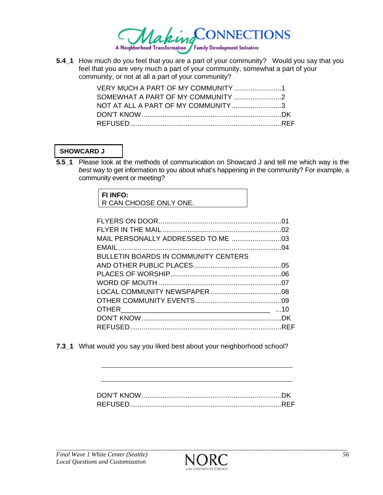

**5.4\_1** How much do you feel that you are a part of your community? Would you say that you feel that you are very much a part of your community, somewhat a part of your community, or not at all a part of your community?

| NOT AT ALL A PART OF MY COMMUNITY3 |  |
|------------------------------------|--|
|                                    |  |
|                                    |  |

# **SHOWCARD J**

**5.5\_1** Please look at the methods of communication on Showcard J and tell me which way is the *best* way to get information to you about what's happening in the community? For example, a community event or meeting?

| <b>FI INFO:</b>        |  |
|------------------------|--|
| R CAN CHOOSE ONLY ONE. |  |

| <b>BULLETIN BOARDS IN COMMUNITY CENTERS</b> |  |
|---------------------------------------------|--|
|                                             |  |
|                                             |  |
|                                             |  |
|                                             |  |
|                                             |  |
|                                             |  |
|                                             |  |
|                                             |  |

**7.3\_1** What would you say you liked best about your neighborhood school?

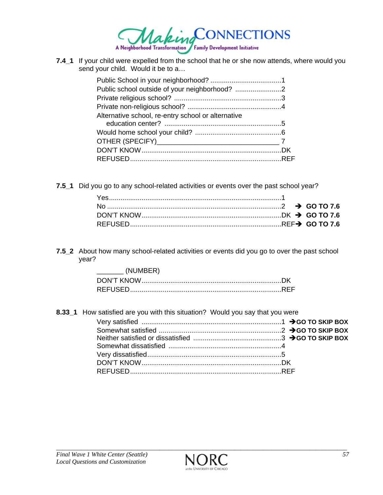

**7.4\_1** If your child were expelled from the school that he or she now attends, where would you send your child. Would it be to a…

| Alternative school, re-entry school or alternative |  |
|----------------------------------------------------|--|
|                                                    |  |
|                                                    |  |
|                                                    |  |
|                                                    |  |
|                                                    |  |

**7.5\_1** Did you go to any school-related activities or events over the past school year?

**7.5\_2** About how many school-related activities or events did you go to over the past school year?

| (NUMBER) |  |
|----------|--|
|          |  |
|          |  |

**8.33\_1** How satisfied are you with this situation? Would you say that you were